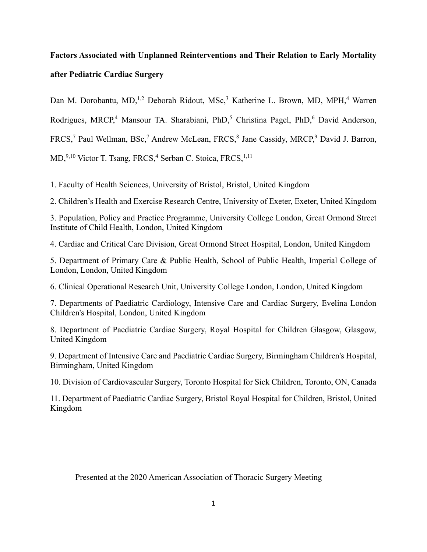# **Factors Associated with Unplanned Reinterventions and Their Relation to Early Mortality after Pediatric Cardiac Surgery**

Dan M. Dorobantu, MD,<sup>1,2</sup> Deborah Ridout, MSc,<sup>3</sup> Katherine L. Brown, MD, MPH,<sup>4</sup> Warren

Rodrigues, MRCP,<sup>4</sup> Mansour TA. Sharabiani, PhD,<sup>5</sup> Christina Pagel, PhD,<sup>6</sup> David Anderson,

 $FRCS<sup>7</sup>$  Paul Wellman, BSc,<sup>7</sup> Andrew McLean, FRCS,<sup>8</sup> Jane Cassidy, MRCP,<sup>9</sup> David J. Barron,

MD, 9,10 Victor T. Tsang, FRCS,<sup>4</sup> Serban C. Stoica, FRCS, <sup>1,11</sup>

1. Faculty of Health Sciences, University of Bristol, Bristol, United Kingdom

2. Children's Health and Exercise Research Centre, University of Exeter, Exeter, United Kingdom

3. Population, Policy and Practice Programme, University College London, Great Ormond Street Institute of Child Health, London, United Kingdom

4. Cardiac and Critical Care Division, Great Ormond Street Hospital, London, United Kingdom

5. Department of Primary Care & Public Health, School of Public Health, Imperial College of London, London, United Kingdom

6. Clinical Operational Research Unit, University College London, London, United Kingdom

7. Departments of Paediatric Cardiology, Intensive Care and Cardiac Surgery, Evelina London Children's Hospital, London, United Kingdom

8. Department of Paediatric Cardiac Surgery, Royal Hospital for Children Glasgow, Glasgow, United Kingdom

9. Department of Intensive Care and Paediatric Cardiac Surgery, Birmingham Children's Hospital, Birmingham, United Kingdom

10. Division of Cardiovascular Surgery, Toronto Hospital for Sick Children, Toronto, ON, Canada

11. Department of Paediatric Cardiac Surgery, Bristol Royal Hospital for Children, Bristol, United Kingdom

Presented at the 2020 American Association of Thoracic Surgery Meeting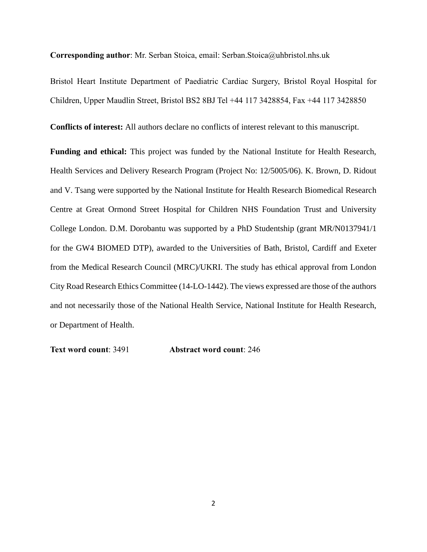**Corresponding author**: Mr. Serban Stoica, email: Serban.Stoica@uhbristol.nhs.uk

Bristol Heart Institute Department of Paediatric Cardiac Surgery, Bristol Royal Hospital for Children, Upper Maudlin Street, Bristol BS2 8BJ Tel +44 117 3428854, Fax +44 117 3428850

**Conflicts of interest:** All authors declare no conflicts of interest relevant to this manuscript.

**Funding and ethical:** This project was funded by the National Institute for Health Research, Health Services and Delivery Research Program (Project No: 12/5005/06). K. Brown, D. Ridout and V. Tsang were supported by the National Institute for Health Research Biomedical Research Centre at Great Ormond Street Hospital for Children NHS Foundation Trust and University College London. D.M. Dorobantu was supported by a PhD Studentship (grant MR/N0137941/1 for the GW4 BIOMED DTP), awarded to the Universities of Bath, Bristol, Cardiff and Exeter from the Medical Research Council (MRC)/UKRI. The study has ethical approval from London City Road Research Ethics Committee (14-LO-1442). The views expressed are those of the authors and not necessarily those of the National Health Service, National Institute for Health Research, or Department of Health.

**Text word count**: 3491 **Abstract word count**: 246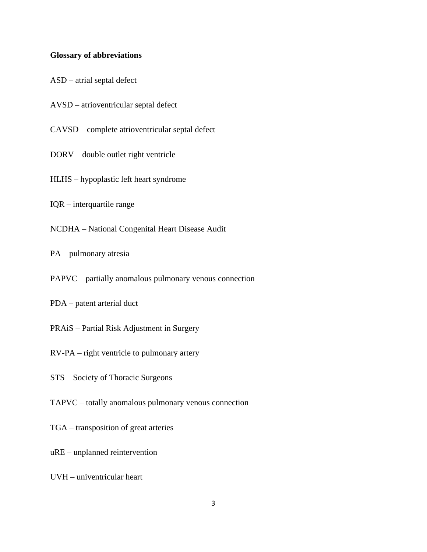#### **Glossary of abbreviations**

ASD – atrial septal defect

AVSD – atrioventricular septal defect

CAVSD – complete atrioventricular septal defect

DORV – double outlet right ventricle

HLHS – hypoplastic left heart syndrome

IQR – interquartile range

NCDHA – National Congenital Heart Disease Audit

PA – pulmonary atresia

PAPVC – partially anomalous pulmonary venous connection

PDA – patent arterial duct

PRAiS – Partial Risk Adjustment in Surgery

RV-PA – right ventricle to pulmonary artery

STS – Society of Thoracic Surgeons

TAPVC – totally anomalous pulmonary venous connection

TGA – transposition of great arteries

uRE – unplanned reintervention

UVH – univentricular heart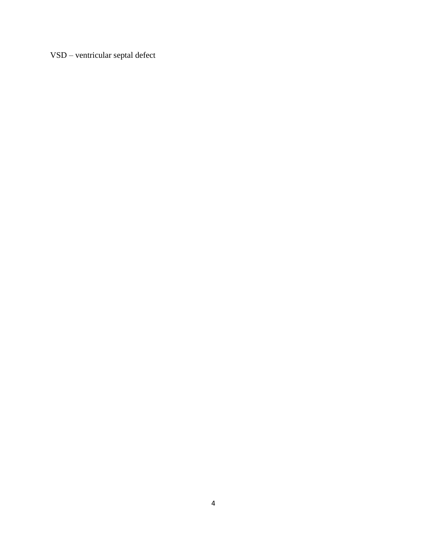VSD – ventricular septal defect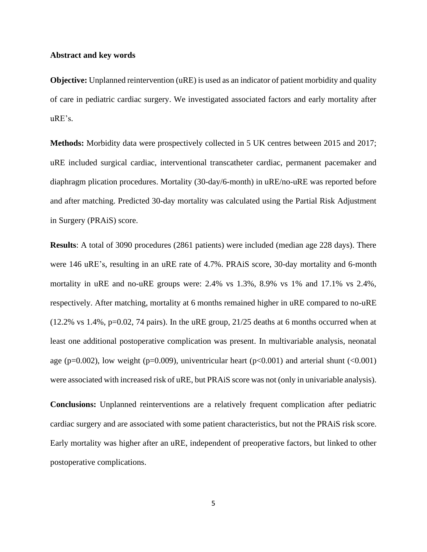#### **Abstract and key words**

**Objective:** Unplanned reintervention (uRE) is used as an indicator of patient morbidity and quality of care in pediatric cardiac surgery. We investigated associated factors and early mortality after uRE's.

**Methods:** Morbidity data were prospectively collected in 5 UK centres between 2015 and 2017; uRE included surgical cardiac, interventional transcatheter cardiac, permanent pacemaker and diaphragm plication procedures. Mortality (30-day/6-month) in uRE/no-uRE was reported before and after matching. Predicted 30-day mortality was calculated using the Partial Risk Adjustment in Surgery (PRAiS) score.

**Results**: A total of 3090 procedures (2861 patients) were included (median age 228 days). There were 146 uRE's, resulting in an uRE rate of 4.7%. PRAiS score, 30-day mortality and 6-month mortality in uRE and no-uRE groups were: 2.4% vs 1.3%, 8.9% vs 1% and 17.1% vs 2.4%, respectively. After matching, mortality at 6 months remained higher in uRE compared to no-uRE  $(12.2\% \text{ vs } 1.4\%, \text{ p=0.02, } 74 \text{ pairs})$ . In the uRE group,  $21/25$  deaths at 6 months occurred when at least one additional postoperative complication was present. In multivariable analysis, neonatal age (p=0.002), low weight (p=0.009), univentricular heart (p $<0.001$ ) and arterial shunt ( $<0.001$ ) were associated with increased risk of uRE, but PRAiS score was not (only in univariable analysis).

**Conclusions:** Unplanned reinterventions are a relatively frequent complication after pediatric cardiac surgery and are associated with some patient characteristics, but not the PRAiS risk score. Early mortality was higher after an uRE, independent of preoperative factors, but linked to other postoperative complications.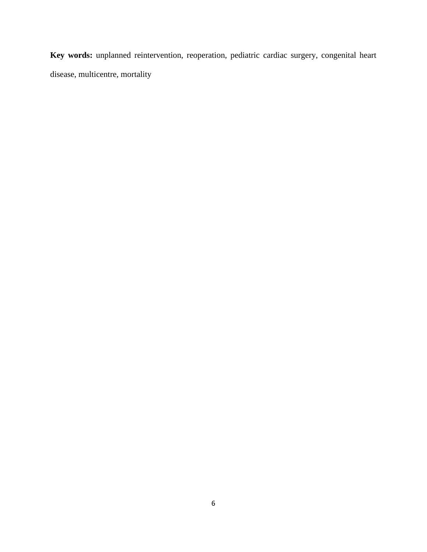**Key words:** unplanned reintervention, reoperation, pediatric cardiac surgery, congenital heart disease, multicentre, mortality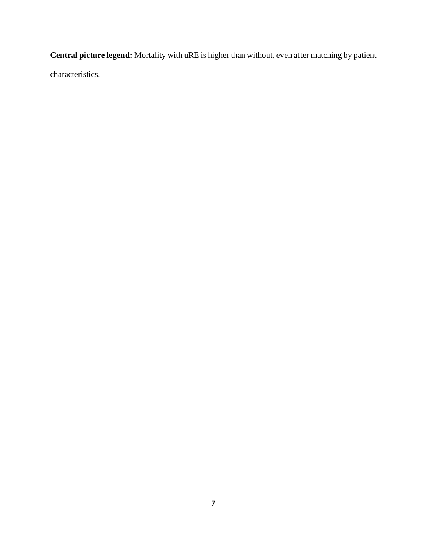**Central picture legend:** Mortality with uRE is higher than without, even after matching by patient characteristics.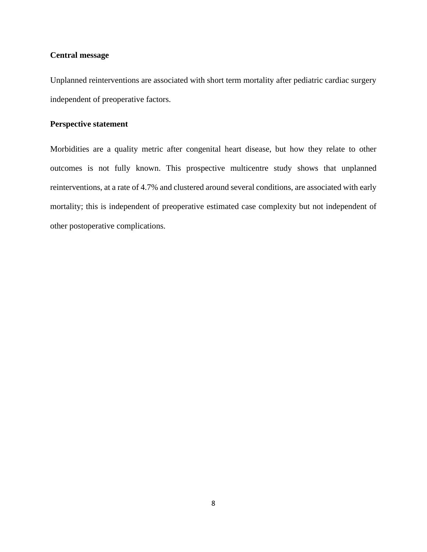# **Central message**

Unplanned reinterventions are associated with short term mortality after pediatric cardiac surgery independent of preoperative factors.

# **Perspective statement**

Morbidities are a quality metric after congenital heart disease, but how they relate to other outcomes is not fully known. This prospective multicentre study shows that unplanned reinterventions, at a rate of 4.7% and clustered around several conditions, are associated with early mortality; this is independent of preoperative estimated case complexity but not independent of other postoperative complications.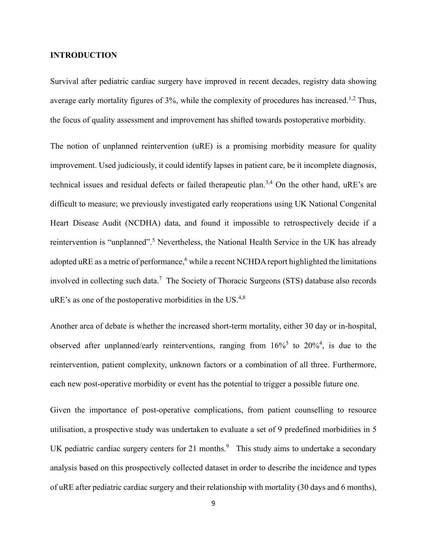### **INTRODUCTION**

Survival after pediatric cardiac surgery have improved in recent decades, registry data showing average early mortality figures of  $3\%$ , while the complexity of procedures has increased.<sup>1,2</sup> Thus, the focus of quality assessment and improvement has shifted towards postoperative morbidity.

The notion of unplanned reintervention (uRE) is a promising morbidity measure for quality improvement. Used judiciously, it could identify lapses in patient care, be it incomplete diagnosis, technical issues and residual defects or failed therapeutic plan.<sup>3,4</sup> On the other hand, uRE's are difficult to measure; we previously investigated early reoperations using UK National Congenital Heart Disease Audit (NCDHA) data, and found it impossible to retrospectively decide if a reintervention is "unplanned".<sup>5</sup> Nevertheless, the National Health Service in the UK has already adopted uRE as a metric of performance, while a recent NCHDA report highlighted the limitations involved in collecting such data.<sup>7</sup> The Society of Thoracic Surgeons (STS) database also records  $uRE$ 's as one of the postoperative morbidities in the US.<sup>4,8</sup>

Another area of debate is whether the increased short-term mortality, either 30 day or in-hospital, observed after unplanned/early reinterventions, ranging from  $16\%^5$  to  $20\%^4$ , is due to the reintervention, patient complexity, unknown factors or a combination of all three. Furthermore, each new post-operative morbidity or event has the potential to trigger a possible future one.

Given the importance of post-operative complications, from patient counselling to resource utilisation, a prospective study was undertaken to evaluate a set of 9 predefined morbidities in 5 UK pediatric cardiac surgery centers for 21 months. $9$  This study aims to undertake a secondary analysis based on this prospectively collected dataset in order to describe the incidence and types of uRE after pediatric cardiac surgery and their relationship with mortality (30 days and 6 months),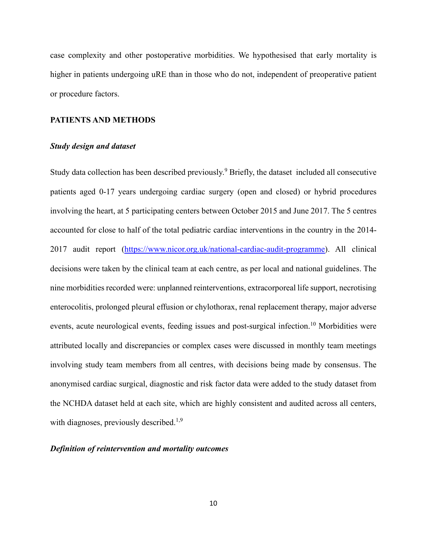case complexity and other postoperative morbidities. We hypothesised that early mortality is higher in patients undergoing uRE than in those who do not, independent of preoperative patient or procedure factors.

#### **PATIENTS AND METHODS**

#### *Study design and dataset*

Study data collection has been described previously.<sup>9</sup> Briefly, the dataset included all consecutive patients aged 0-17 years undergoing cardiac surgery (open and closed) or hybrid procedures involving the heart, at 5 participating centers between October 2015 and June 2017. The 5 centres accounted for close to half of the total pediatric cardiac interventions in the country in the 2014- 2017 audit report [\(https://www.nicor.org.uk/national-cardiac-audit-programme\)](https://www.nicor.org.uk/national-cardiac-audit-programme). All clinical decisions were taken by the clinical team at each centre, as per local and national guidelines. The nine morbidities recorded were: unplanned reinterventions, extracorporeal life support, necrotising enterocolitis, prolonged pleural effusion or chylothorax, renal replacement therapy, major adverse events, acute neurological events, feeding issues and post-surgical infection.<sup>10</sup> Morbidities were attributed locally and discrepancies or complex cases were discussed in monthly team meetings involving study team members from all centres, with decisions being made by consensus. The anonymised cardiac surgical, diagnostic and risk factor data were added to the study dataset from the NCHDA dataset held at each site, which are highly consistent and audited across all centers, with diagnoses, previously described.<sup>1,9</sup>

# *Definition of reintervention and mortality outcomes*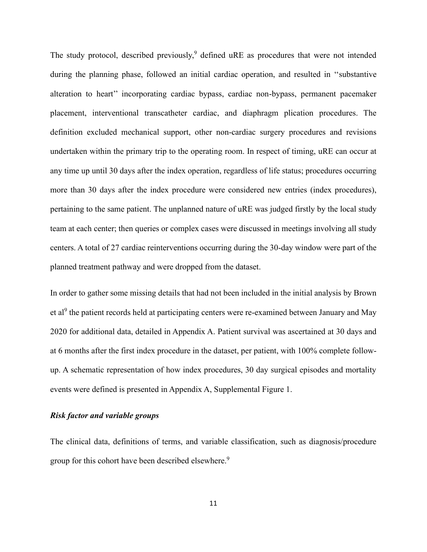The study protocol, described previously,<sup>9</sup> defined uRE as procedures that were not intended during the planning phase, followed an initial cardiac operation, and resulted in ''substantive alteration to heart'' incorporating cardiac bypass, cardiac non-bypass, permanent pacemaker placement, interventional transcatheter cardiac, and diaphragm plication procedures. The definition excluded mechanical support, other non-cardiac surgery procedures and revisions undertaken within the primary trip to the operating room. In respect of timing, uRE can occur at any time up until 30 days after the index operation, regardless of life status; procedures occurring more than 30 days after the index procedure were considered new entries (index procedures), pertaining to the same patient. The unplanned nature of uRE was judged firstly by the local study team at each center; then queries or complex cases were discussed in meetings involving all study centers. A total of 27 cardiac reinterventions occurring during the 30-day window were part of the planned treatment pathway and were dropped from the dataset.

In order to gather some missing details that had not been included in the initial analysis by Brown et al<sup>9</sup> the patient records held at participating centers were re-examined between January and May 2020 for additional data, detailed in Appendix A. Patient survival was ascertained at 30 days and at 6 months after the first index procedure in the dataset, per patient, with 100% complete followup. A schematic representation of how index procedures, 30 day surgical episodes and mortality events were defined is presented in Appendix A, Supplemental Figure 1.

# *Risk factor and variable groups*

The clinical data, definitions of terms, and variable classification, such as diagnosis/procedure group for this cohort have been described elsewhere.<sup>9</sup>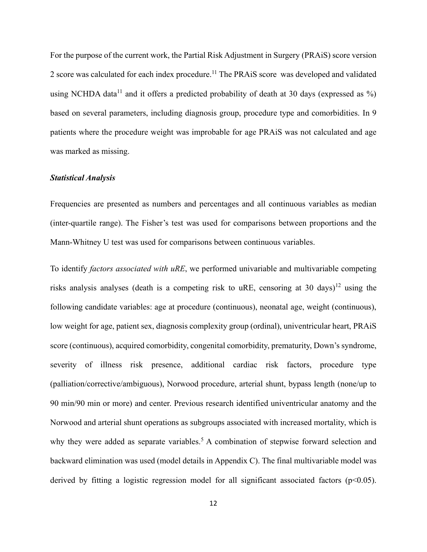For the purpose of the current work, the Partial Risk Adjustment in Surgery (PRAiS) score version 2 score was calculated for each index procedure.<sup>11</sup> The PRAiS score was developed and validated using NCHDA data<sup>11</sup> and it offers a predicted probability of death at 30 days (expressed as  $\%$ ) based on several parameters, including diagnosis group, procedure type and comorbidities. In 9 patients where the procedure weight was improbable for age PRAiS was not calculated and age was marked as missing.

### *Statistical Analysis*

Frequencies are presented as numbers and percentages and all continuous variables as median (inter-quartile range). The Fisher's test was used for comparisons between proportions and the Mann-Whitney U test was used for comparisons between continuous variables.

To identify *factors associated with uRE*, we performed univariable and multivariable competing risks analysis analyses (death is a competing risk to uRE, censoring at 30 days)<sup>12</sup> using the following candidate variables: age at procedure (continuous), neonatal age, weight (continuous), low weight for age, patient sex, diagnosis complexity group (ordinal), univentricular heart, PRAiS score (continuous), acquired comorbidity, congenital comorbidity, prematurity, Down's syndrome, severity of illness risk presence, additional cardiac risk factors, procedure type (palliation/corrective/ambiguous), Norwood procedure, arterial shunt, bypass length (none/up to 90 min/90 min or more) and center. Previous research identified univentricular anatomy and the Norwood and arterial shunt operations as subgroups associated with increased mortality, which is why they were added as separate variables.<sup>5</sup> A combination of stepwise forward selection and backward elimination was used (model details in Appendix C). The final multivariable model was derived by fitting a logistic regression model for all significant associated factors ( $p<0.05$ ).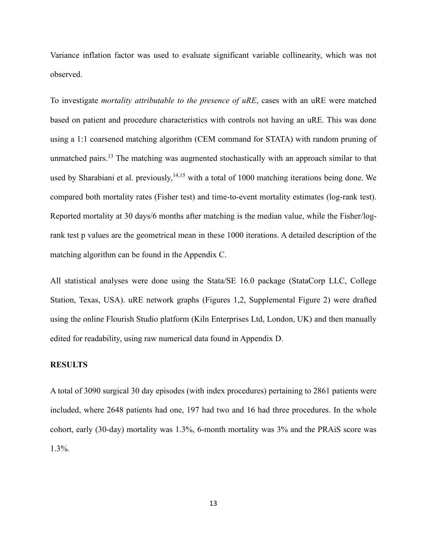Variance inflation factor was used to evaluate significant variable collinearity, which was not observed.

To investigate *mortality attributable to the presence of uRE*, cases with an uRE were matched based on patient and procedure characteristics with controls not having an uRE. This was done using a 1:1 coarsened matching algorithm (CEM command for STATA) with random pruning of unmatched pairs.<sup>13</sup> The matching was augmented stochastically with an approach similar to that used by Sharabiani et al. previously, <sup>14,15</sup> with a total of 1000 matching iterations being done. We compared both mortality rates (Fisher test) and time-to-event mortality estimates (log-rank test). Reported mortality at 30 days/6 months after matching is the median value, while the Fisher/logrank test p values are the geometrical mean in these 1000 iterations. A detailed description of the matching algorithm can be found in the Appendix C.

All statistical analyses were done using the Stata/SE 16.0 package (StataCorp LLC, College Station, Texas, USA). uRE network graphs (Figures 1,2, Supplemental Figure 2) were drafted using the online Flourish Studio platform (Kiln Enterprises Ltd, London, UK) and then manually edited for readability, using raw numerical data found in Appendix D.

# **RESULTS**

A total of 3090 surgical 30 day episodes (with index procedures) pertaining to 2861 patients were included, where 2648 patients had one, 197 had two and 16 had three procedures. In the whole cohort, early (30-day) mortality was 1.3%, 6-month mortality was 3% and the PRAiS score was 1.3%.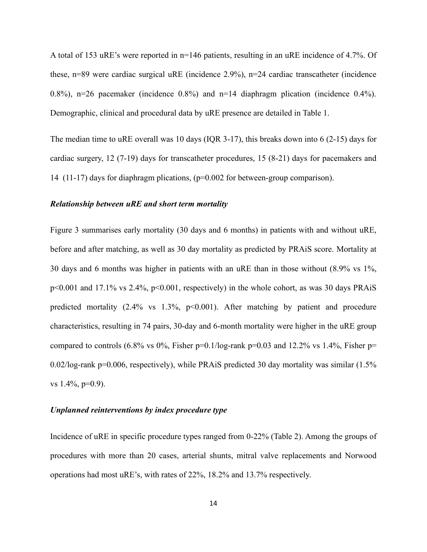A total of 153 uRE's were reported in n=146 patients, resulting in an uRE incidence of 4.7%. Of these, n=89 were cardiac surgical uRE (incidence 2.9%), n=24 cardiac transcatheter (incidence 0.8%), n=26 pacemaker (incidence 0.8%) and n=14 diaphragm plication (incidence 0.4%). Demographic, clinical and procedural data by uRE presence are detailed in Table 1.

The median time to uRE overall was 10 days (IQR 3-17), this breaks down into 6 (2-15) days for cardiac surgery, 12 (7-19) days for transcatheter procedures, 15 (8-21) days for pacemakers and 14 (11-17) days for diaphragm plications, (p=0.002 for between-group comparison).

#### *Relationship between uRE and short term mortality*

Figure 3 summarises early mortality (30 days and 6 months) in patients with and without uRE, before and after matching, as well as 30 day mortality as predicted by PRAiS score. Mortality at 30 days and 6 months was higher in patients with an uRE than in those without (8.9% vs 1%, p<0.001 and 17.1% vs 2.4%, p<0.001, respectively) in the whole cohort, as was 30 days PRAiS predicted mortality  $(2.4\% \text{ vs } 1.3\%, \text{ p} < 0.001)$ . After matching by patient and procedure characteristics, resulting in 74 pairs, 30-day and 6-month mortality were higher in the uRE group compared to controls (6.8% vs 0%, Fisher p=0.1/log-rank p=0.03 and 12.2% vs 1.4%, Fisher p= 0.02/log-rank p=0.006, respectively), while PRAiS predicted 30 day mortality was similar (1.5% vs 1.4%, p=0.9).

# *Unplanned reinterventions by index procedure type*

Incidence of uRE in specific procedure types ranged from 0-22% (Table 2). Among the groups of procedures with more than 20 cases, arterial shunts, mitral valve replacements and Norwood operations had most uRE's, with rates of 22%, 18.2% and 13.7% respectively.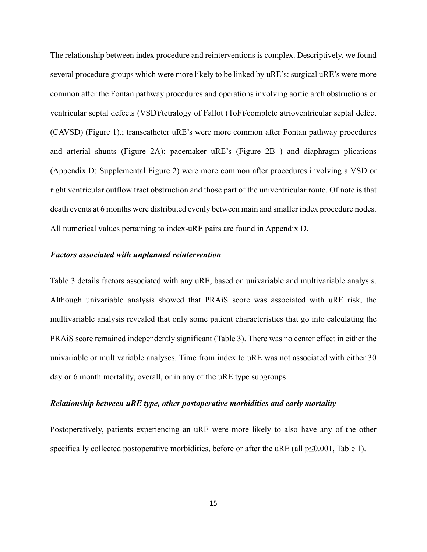The relationship between index procedure and reinterventions is complex. Descriptively, we found several procedure groups which were more likely to be linked by uRE's: surgical uRE's were more common after the Fontan pathway procedures and operations involving aortic arch obstructions or ventricular septal defects (VSD)/tetralogy of Fallot (ToF)/complete atrioventricular septal defect (CAVSD) (Figure 1).; transcatheter uRE's were more common after Fontan pathway procedures and arterial shunts (Figure 2A); pacemaker uRE's (Figure 2B ) and diaphragm plications (Appendix D: Supplemental Figure 2) were more common after procedures involving a VSD or right ventricular outflow tract obstruction and those part of the univentricular route. Of note is that death events at 6 months were distributed evenly between main and smaller index procedure nodes. All numerical values pertaining to index-uRE pairs are found in Appendix D.

# *Factors associated with unplanned reintervention*

Table 3 details factors associated with any uRE, based on univariable and multivariable analysis. Although univariable analysis showed that PRAiS score was associated with uRE risk, the multivariable analysis revealed that only some patient characteristics that go into calculating the PRAiS score remained independently significant (Table 3). There was no center effect in either the univariable or multivariable analyses. Time from index to uRE was not associated with either 30 day or 6 month mortality, overall, or in any of the uRE type subgroups.

#### *Relationship between uRE type, other postoperative morbidities and early mortality*

Postoperatively, patients experiencing an uRE were more likely to also have any of the other specifically collected postoperative morbidities, before or after the uRE (all  $p \le 0.001$ , Table 1).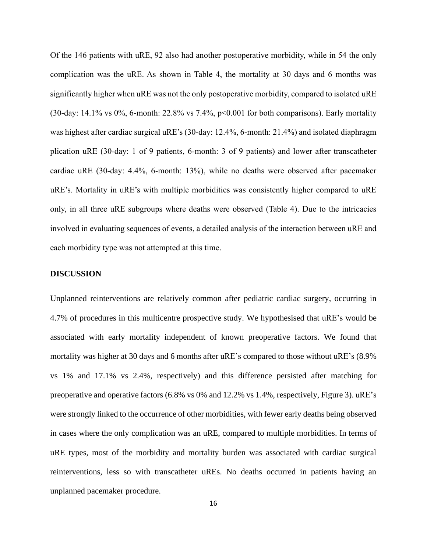Of the 146 patients with uRE, 92 also had another postoperative morbidity, while in 54 the only complication was the uRE. As shown in Table 4, the mortality at 30 days and 6 months was significantly higher when uRE was not the only postoperative morbidity, compared to isolated uRE (30-day: 14.1% vs 0%, 6-month: 22.8% vs 7.4%,  $p<0.001$  for both comparisons). Early mortality was highest after cardiac surgical uRE's (30-day: 12.4%, 6-month: 21.4%) and isolated diaphragm plication uRE (30-day: 1 of 9 patients, 6-month: 3 of 9 patients) and lower after transcatheter cardiac uRE (30-day: 4.4%, 6-month: 13%), while no deaths were observed after pacemaker uRE's. Mortality in uRE's with multiple morbidities was consistently higher compared to uRE only, in all three uRE subgroups where deaths were observed (Table 4). Due to the intricacies involved in evaluating sequences of events, a detailed analysis of the interaction between uRE and each morbidity type was not attempted at this time.

#### **DISCUSSION**

Unplanned reinterventions are relatively common after pediatric cardiac surgery, occurring in 4.7% of procedures in this multicentre prospective study. We hypothesised that uRE's would be associated with early mortality independent of known preoperative factors. We found that mortality was higher at 30 days and 6 months after uRE's compared to those without uRE's (8.9% vs 1% and 17.1% vs 2.4%, respectively) and this difference persisted after matching for preoperative and operative factors (6.8% vs 0% and 12.2% vs 1.4%, respectively, Figure 3). uRE's were strongly linked to the occurrence of other morbidities, with fewer early deaths being observed in cases where the only complication was an uRE, compared to multiple morbidities. In terms of uRE types, most of the morbidity and mortality burden was associated with cardiac surgical reinterventions, less so with transcatheter uREs. No deaths occurred in patients having an unplanned pacemaker procedure.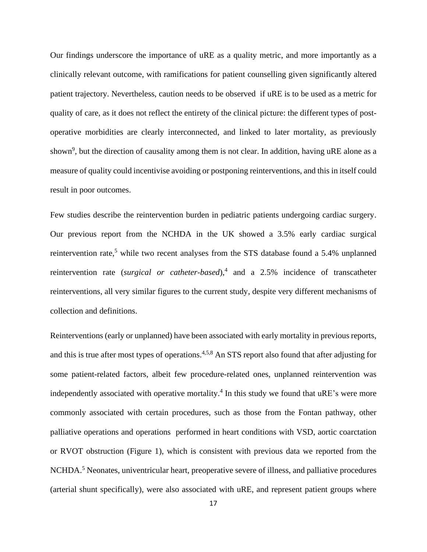Our findings underscore the importance of uRE as a quality metric, and more importantly as a clinically relevant outcome, with ramifications for patient counselling given significantly altered patient trajectory. Nevertheless, caution needs to be observed if uRE is to be used as a metric for quality of care, as it does not reflect the entirety of the clinical picture: the different types of postoperative morbidities are clearly interconnected, and linked to later mortality, as previously shown<sup>9</sup>, but the direction of causality among them is not clear. In addition, having uRE alone as a measure of quality could incentivise avoiding or postponing reinterventions, and this in itself could result in poor outcomes.

Few studies describe the reintervention burden in pediatric patients undergoing cardiac surgery. Our previous report from the NCHDA in the UK showed a 3.5% early cardiac surgical reintervention rate,<sup>5</sup> while two recent analyses from the STS database found a 5.4% unplanned reintervention rate (*surgical or catheter-based*),<sup>4</sup> and a 2.5% incidence of transcatheter reinterventions, all very similar figures to the current study, despite very different mechanisms of collection and definitions.

Reinterventions (early or unplanned) have been associated with early mortality in previous reports, and this is true after most types of operations.<sup>4,5,8</sup> An STS report also found that after adjusting for some patient-related factors, albeit few procedure-related ones, unplanned reintervention was independently associated with operative mortality.<sup>4</sup> In this study we found that uRE's were more commonly associated with certain procedures, such as those from the Fontan pathway, other palliative operations and operations performed in heart conditions with VSD, aortic coarctation or RVOT obstruction (Figure 1), which is consistent with previous data we reported from the NCHDA.<sup>5</sup> Neonates, univentricular heart, preoperative severe of illness, and palliative procedures (arterial shunt specifically), were also associated with uRE, and represent patient groups where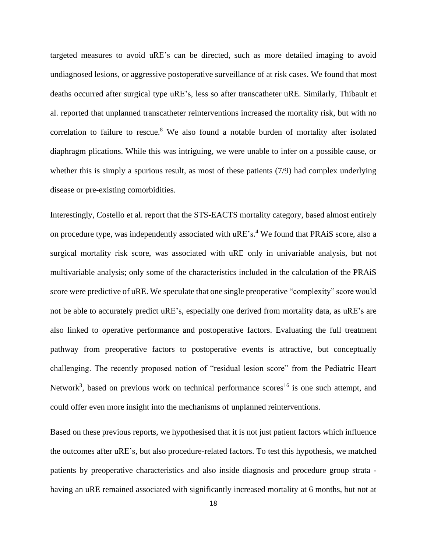targeted measures to avoid uRE's can be directed, such as more detailed imaging to avoid undiagnosed lesions, or aggressive postoperative surveillance of at risk cases. We found that most deaths occurred after surgical type uRE's, less so after transcatheter uRE. Similarly, Thibault et al. reported that unplanned transcatheter reinterventions increased the mortality risk, but with no correlation to failure to rescue. $8$  We also found a notable burden of mortality after isolated diaphragm plications. While this was intriguing, we were unable to infer on a possible cause, or whether this is simply a spurious result, as most of these patients (7/9) had complex underlying disease or pre-existing comorbidities.

Interestingly, Costello et al. report that the STS-EACTS mortality category, based almost entirely on procedure type, was independently associated with uRE's.<sup>4</sup> We found that PRAiS score, also a surgical mortality risk score, was associated with uRE only in univariable analysis, but not multivariable analysis; only some of the characteristics included in the calculation of the PRAiS score were predictive of uRE. We speculate that one single preoperative "complexity" score would not be able to accurately predict uRE's, especially one derived from mortality data, as uRE's are also linked to operative performance and postoperative factors. Evaluating the full treatment pathway from preoperative factors to postoperative events is attractive, but conceptually challenging. The recently proposed notion of "residual lesion score" from the Pediatric Heart Network<sup>3</sup>, based on previous work on technical performance scores<sup>16</sup> is one such attempt, and could offer even more insight into the mechanisms of unplanned reinterventions.

Based on these previous reports, we hypothesised that it is not just patient factors which influence the outcomes after uRE's, but also procedure-related factors. To test this hypothesis, we matched patients by preoperative characteristics and also inside diagnosis and procedure group strata having an uRE remained associated with significantly increased mortality at 6 months, but not at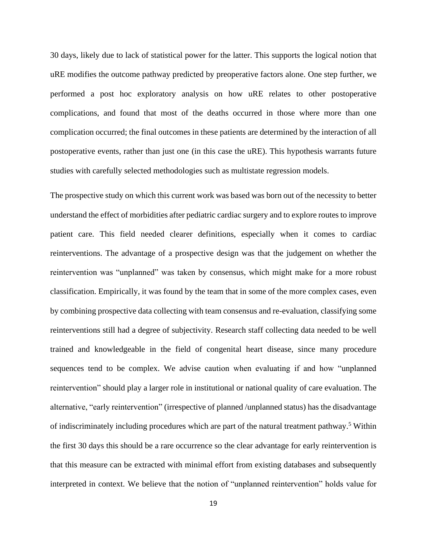30 days, likely due to lack of statistical power for the latter. This supports the logical notion that uRE modifies the outcome pathway predicted by preoperative factors alone. One step further, we performed a post hoc exploratory analysis on how uRE relates to other postoperative complications, and found that most of the deaths occurred in those where more than one complication occurred; the final outcomes in these patients are determined by the interaction of all postoperative events, rather than just one (in this case the uRE). This hypothesis warrants future studies with carefully selected methodologies such as multistate regression models.

The prospective study on which this current work was based was born out of the necessity to better understand the effect of morbidities after pediatric cardiac surgery and to explore routes to improve patient care. This field needed clearer definitions, especially when it comes to cardiac reinterventions. The advantage of a prospective design was that the judgement on whether the reintervention was "unplanned" was taken by consensus, which might make for a more robust classification. Empirically, it was found by the team that in some of the more complex cases, even by combining prospective data collecting with team consensus and re-evaluation, classifying some reinterventions still had a degree of subjectivity. Research staff collecting data needed to be well trained and knowledgeable in the field of congenital heart disease, since many procedure sequences tend to be complex. We advise caution when evaluating if and how "unplanned reintervention" should play a larger role in institutional or national quality of care evaluation. The alternative, "early reintervention" (irrespective of planned /unplanned status) has the disadvantage of indiscriminately including procedures which are part of the natural treatment pathway. <sup>5</sup> Within the first 30 days this should be a rare occurrence so the clear advantage for early reintervention is that this measure can be extracted with minimal effort from existing databases and subsequently interpreted in context. We believe that the notion of "unplanned reintervention" holds value for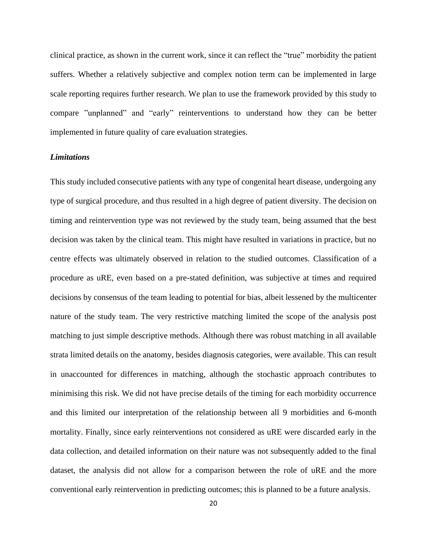clinical practice, as shown in the current work, since it can reflect the "true" morbidity the patient suffers. Whether a relatively subjective and complex notion term can be implemented in large scale reporting requires further research. We plan to use the framework provided by this study to compare "unplanned" and "early" reinterventions to understand how they can be better implemented in future quality of care evaluation strategies.

# *Limitations*

This study included consecutive patients with any type of congenital heart disease, undergoing any type of surgical procedure, and thus resulted in a high degree of patient diversity. The decision on timing and reintervention type was not reviewed by the study team, being assumed that the best decision was taken by the clinical team. This might have resulted in variations in practice, but no centre effects was ultimately observed in relation to the studied outcomes. Classification of a procedure as uRE, even based on a pre-stated definition, was subjective at times and required decisions by consensus of the team leading to potential for bias, albeit lessened by the multicenter nature of the study team. The very restrictive matching limited the scope of the analysis post matching to just simple descriptive methods. Although there was robust matching in all available strata limited details on the anatomy, besides diagnosis categories, were available. This can result in unaccounted for differences in matching, although the stochastic approach contributes to minimising this risk. We did not have precise details of the timing for each morbidity occurrence and this limited our interpretation of the relationship between all 9 morbidities and 6-month mortality. Finally, since early reinterventions not considered as uRE were discarded early in the data collection, and detailed information on their nature was not subsequently added to the final dataset, the analysis did not allow for a comparison between the role of uRE and the more conventional early reintervention in predicting outcomes; this is planned to be a future analysis.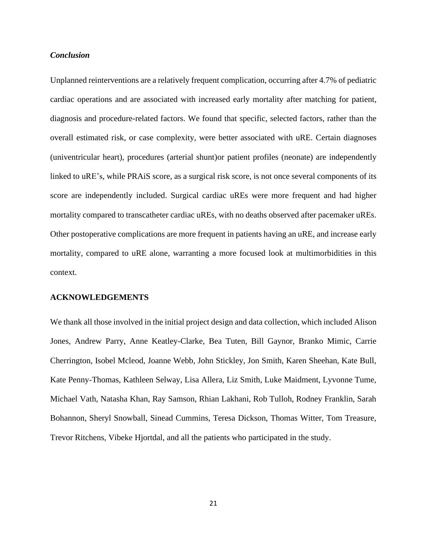# *Conclusion*

Unplanned reinterventions are a relatively frequent complication, occurring after 4.7% of pediatric cardiac operations and are associated with increased early mortality after matching for patient, diagnosis and procedure-related factors. We found that specific, selected factors, rather than the overall estimated risk, or case complexity, were better associated with uRE. Certain diagnoses (univentricular heart), procedures (arterial shunt)or patient profiles (neonate) are independently linked to uRE's, while PRAiS score, as a surgical risk score, is not once several components of its score are independently included. Surgical cardiac uREs were more frequent and had higher mortality compared to transcatheter cardiac uREs, with no deaths observed after pacemaker uREs. Other postoperative complications are more frequent in patients having an uRE, and increase early mortality, compared to uRE alone, warranting a more focused look at multimorbidities in this context.

#### **ACKNOWLEDGEMENTS**

We thank all those involved in the initial project design and data collection, which included Alison Jones, Andrew Parry, Anne Keatley-Clarke, Bea Tuten, Bill Gaynor, Branko Mimic, Carrie Cherrington, Isobel Mcleod, Joanne Webb, John Stickley, Jon Smith, Karen Sheehan, Kate Bull, Kate Penny-Thomas, Kathleen Selway, Lisa Allera, Liz Smith, Luke Maidment, Lyvonne Tume, Michael Vath, Natasha Khan, Ray Samson, Rhian Lakhani, Rob Tulloh, Rodney Franklin, Sarah Bohannon, Sheryl Snowball, Sinead Cummins, Teresa Dickson, Thomas Witter, Tom Treasure, Trevor Ritchens, Vibeke Hjortdal, and all the patients who participated in the study.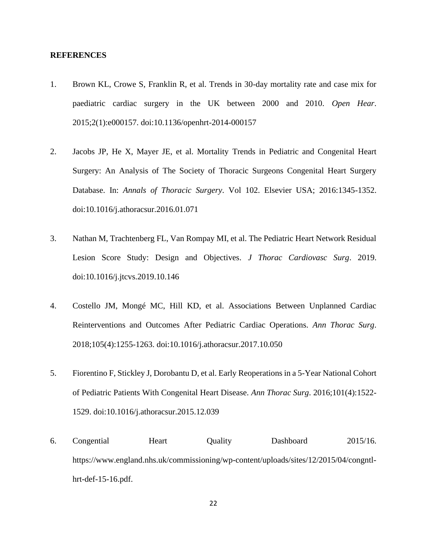#### **REFERENCES**

- 1. Brown KL, Crowe S, Franklin R, et al. Trends in 30-day mortality rate and case mix for paediatric cardiac surgery in the UK between 2000 and 2010. *Open Hear*. 2015;2(1):e000157. doi:10.1136/openhrt-2014-000157
- 2. Jacobs JP, He X, Mayer JE, et al. Mortality Trends in Pediatric and Congenital Heart Surgery: An Analysis of The Society of Thoracic Surgeons Congenital Heart Surgery Database. In: *Annals of Thoracic Surgery*. Vol 102. Elsevier USA; 2016:1345-1352. doi:10.1016/j.athoracsur.2016.01.071
- 3. Nathan M, Trachtenberg FL, Van Rompay MI, et al. The Pediatric Heart Network Residual Lesion Score Study: Design and Objectives. *J Thorac Cardiovasc Surg*. 2019. doi:10.1016/j.jtcvs.2019.10.146
- 4. Costello JM, Mongé MC, Hill KD, et al. Associations Between Unplanned Cardiac Reinterventions and Outcomes After Pediatric Cardiac Operations. *Ann Thorac Surg*. 2018;105(4):1255-1263. doi:10.1016/j.athoracsur.2017.10.050
- 5. Fiorentino F, Stickley J, Dorobantu D, et al. Early Reoperations in a 5-Year National Cohort of Pediatric Patients With Congenital Heart Disease. *Ann Thorac Surg*. 2016;101(4):1522- 1529. doi:10.1016/j.athoracsur.2015.12.039
- 6. Congential Heart Quality Dashboard 2015/16. https://www.england.nhs.uk/commissioning/wp-content/uploads/sites/12/2015/04/congntlhrt-def-15-16.pdf.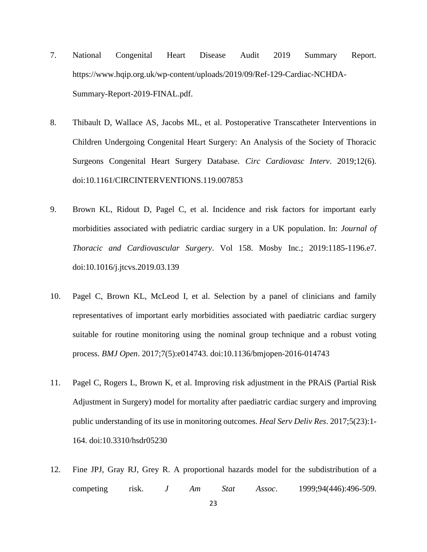- 7. National Congenital Heart Disease Audit 2019 Summary Report. https://www.hqip.org.uk/wp-content/uploads/2019/09/Ref-129-Cardiac-NCHDA-Summary-Report-2019-FINAL.pdf.
- 8. Thibault D, Wallace AS, Jacobs ML, et al. Postoperative Transcatheter Interventions in Children Undergoing Congenital Heart Surgery: An Analysis of the Society of Thoracic Surgeons Congenital Heart Surgery Database. *Circ Cardiovasc Interv*. 2019;12(6). doi:10.1161/CIRCINTERVENTIONS.119.007853
- 9. Brown KL, Ridout D, Pagel C, et al. Incidence and risk factors for important early morbidities associated with pediatric cardiac surgery in a UK population. In: *Journal of Thoracic and Cardiovascular Surgery*. Vol 158. Mosby Inc.; 2019:1185-1196.e7. doi:10.1016/j.jtcvs.2019.03.139
- 10. Pagel C, Brown KL, McLeod I, et al. Selection by a panel of clinicians and family representatives of important early morbidities associated with paediatric cardiac surgery suitable for routine monitoring using the nominal group technique and a robust voting process. *BMJ Open*. 2017;7(5):e014743. doi:10.1136/bmjopen-2016-014743
- 11. Pagel C, Rogers L, Brown K, et al. Improving risk adjustment in the PRAiS (Partial Risk Adjustment in Surgery) model for mortality after paediatric cardiac surgery and improving public understanding of its use in monitoring outcomes. *Heal Serv Deliv Res*. 2017;5(23):1- 164. doi:10.3310/hsdr05230
- 12. Fine JPJ, Gray RJ, Grey R. A proportional hazards model for the subdistribution of a competing risk. *J Am Stat Assoc*. 1999;94(446):496-509.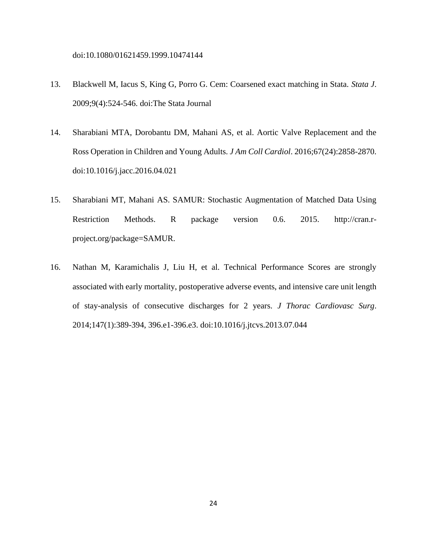doi:10.1080/01621459.1999.10474144

- 13. Blackwell M, Iacus S, King G, Porro G. Cem: Coarsened exact matching in Stata. *Stata J*. 2009;9(4):524-546. doi:The Stata Journal
- 14. Sharabiani MTA, Dorobantu DM, Mahani AS, et al. Aortic Valve Replacement and the Ross Operation in Children and Young Adults. *J Am Coll Cardiol*. 2016;67(24):2858-2870. doi:10.1016/j.jacc.2016.04.021
- 15. Sharabiani MT, Mahani AS. SAMUR: Stochastic Augmentation of Matched Data Using Restriction Methods. R package version 0.6. 2015. http://cran.rproject.org/package=SAMUR.
- 16. Nathan M, Karamichalis J, Liu H, et al. Technical Performance Scores are strongly associated with early mortality, postoperative adverse events, and intensive care unit length of stay-analysis of consecutive discharges for 2 years. *J Thorac Cardiovasc Surg*. 2014;147(1):389-394, 396.e1-396.e3. doi:10.1016/j.jtcvs.2013.07.044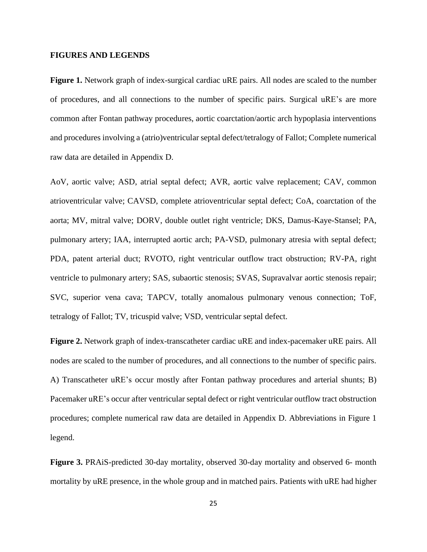#### **FIGURES AND LEGENDS**

**Figure 1.** Network graph of index-surgical cardiac uRE pairs. All nodes are scaled to the number of procedures, and all connections to the number of specific pairs. Surgical uRE's are more common after Fontan pathway procedures, aortic coarctation/aortic arch hypoplasia interventions and procedures involving a (atrio)ventricular septal defect/tetralogy of Fallot; Complete numerical raw data are detailed in Appendix D.

AoV, aortic valve; ASD, atrial septal defect; AVR, aortic valve replacement; CAV, common atrioventricular valve; CAVSD, complete atrioventricular septal defect; CoA, coarctation of the aorta; MV, mitral valve; DORV, double outlet right ventricle; DKS, Damus-Kaye-Stansel; PA, pulmonary artery; IAA, interrupted aortic arch; PA-VSD, pulmonary atresia with septal defect; PDA, patent arterial duct; RVOTO, right ventricular outflow tract obstruction; RV-PA, right ventricle to pulmonary artery; SAS, subaortic stenosis; SVAS, Supravalvar aortic stenosis repair; SVC, superior vena cava; TAPCV, totally anomalous pulmonary venous connection; ToF, tetralogy of Fallot; TV, tricuspid valve; VSD, ventricular septal defect.

**Figure 2.** Network graph of index-transcatheter cardiac uRE and index-pacemaker uRE pairs. All nodes are scaled to the number of procedures, and all connections to the number of specific pairs. A) Transcatheter uRE's occur mostly after Fontan pathway procedures and arterial shunts; B) Pacemaker uRE's occur after ventricular septal defect or right ventricular outflow tract obstruction procedures; complete numerical raw data are detailed in Appendix D. Abbreviations in Figure 1 legend.

**Figure 3.** PRAiS-predicted 30-day mortality, observed 30-day mortality and observed 6- month mortality by uRE presence, in the whole group and in matched pairs. Patients with uRE had higher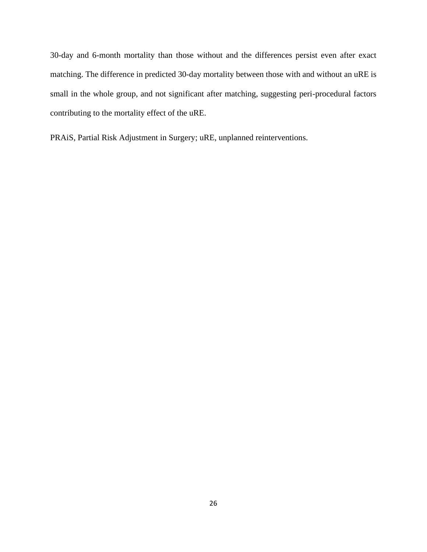30-day and 6-month mortality than those without and the differences persist even after exact matching. The difference in predicted 30-day mortality between those with and without an uRE is small in the whole group, and not significant after matching, suggesting peri-procedural factors contributing to the mortality effect of the uRE.

PRAiS, Partial Risk Adjustment in Surgery; uRE, unplanned reinterventions.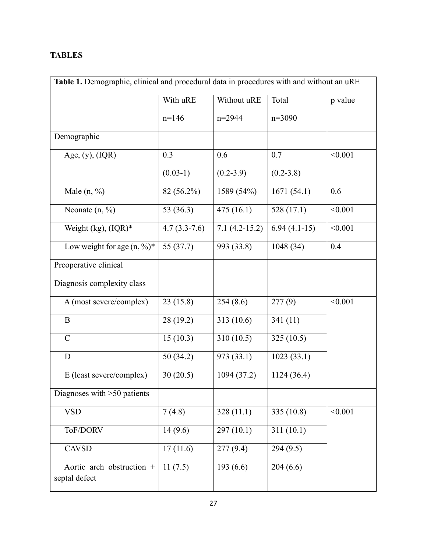# **TABLES**

| Table 1. Demographic, clinical and procedural data in procedures with and without an uRE |                |                 |                |         |  |  |
|------------------------------------------------------------------------------------------|----------------|-----------------|----------------|---------|--|--|
|                                                                                          | With uRE       | Without uRE     | Total          | p value |  |  |
|                                                                                          | $n=146$        | n=2944          | $n=3090$       |         |  |  |
| Demographic                                                                              |                |                 |                |         |  |  |
| Age, $(y)$ , $(IQR)$                                                                     | 0.3            | 0.6             | 0.7            | < 0.001 |  |  |
|                                                                                          | $(0.03-1)$     | $(0.2 - 3.9)$   | $(0.2 - 3.8)$  |         |  |  |
| Male $(n, %)$                                                                            | 82 (56.2%)     | 1589 (54%)      | 1671(54.1)     | 0.6     |  |  |
| Neonate $(n, %)$                                                                         | 53 (36.3)      | 475(16.1)       | 528 (17.1)     | < 0.001 |  |  |
| Weight $(kg)$ , $(IQR)*$                                                                 | $4.7(3.3-7.6)$ | $7.1(4.2-15.2)$ | $6.94(4.1-15)$ | < 0.001 |  |  |
| Low weight for age $(n, \frac{9}{6})^*$                                                  | 55 (37.7)      | 993 (33.8)      | 1048 (34)      | 0.4     |  |  |
| Preoperative clinical                                                                    |                |                 |                |         |  |  |
| Diagnosis complexity class                                                               |                |                 |                |         |  |  |
| A (most severe/complex)                                                                  | 23(15.8)       | 254(8.6)        | 277(9)         | < 0.001 |  |  |
| $\bf{B}$                                                                                 | 28 (19.2)      | 313(10.6)       | 341(11)        |         |  |  |
| $\mathbf C$                                                                              | 15(10.3)       | 310(10.5)       | 325(10.5)      |         |  |  |
| D                                                                                        | 50(34.2)       | 973 (33.1)      | 1023(33.1)     |         |  |  |
| E (least severe/complex)                                                                 | 30(20.5)       | 1094 (37.2)     | 1124(36.4)     |         |  |  |
| Diagnoses with $>50$ patients                                                            |                |                 |                |         |  |  |
| <b>VSD</b>                                                                               | 7(4.8)         | 328(11.1)       | 335 (10.8)     | < 0.001 |  |  |
| ToF/DORV                                                                                 | 14(9.6)        | 297(10.1)       | 311(10.1)      |         |  |  |
| <b>CAVSD</b>                                                                             | 17(11.6)       | 277(9.4)        | 294 (9.5)      |         |  |  |
| Aortic arch obstruction +<br>septal defect                                               | 11(7.5)        | 193(6.6)        | 204(6.6)       |         |  |  |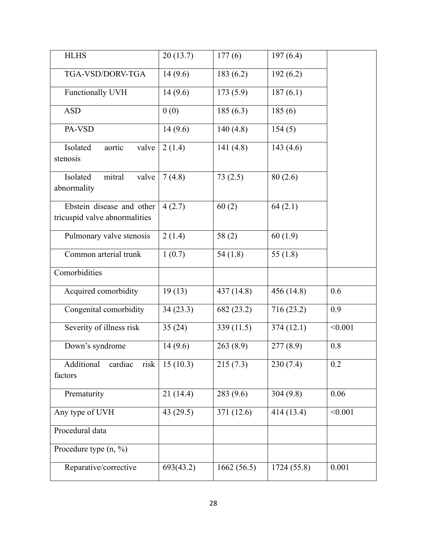| <b>HLHS</b>                                                | 20(13.7)  | 177(6)     | 197(6.4)    |         |
|------------------------------------------------------------|-----------|------------|-------------|---------|
| TGA-VSD/DORV-TGA                                           | 14(9.6)   | 183(6.2)   | 192(6.2)    |         |
| Functionally UVH                                           | 14(9.6)   | 173(5.9)   | 187(6.1)    |         |
| <b>ASD</b>                                                 | 0(0)      | 185(6.3)   | 185(6)      |         |
| PA-VSD                                                     | 14(9.6)   | 140(4.8)   | 154(5)      |         |
| Isolated<br>aortic<br>valve<br>stenosis                    | 2(1.4)    | 141(4.8)   | 143 $(4.6)$ |         |
| mitral<br>Isolated<br>valve<br>abnormality                 | 7(4.8)    | 73(2.5)    | 80(2.6)     |         |
| Ebstein disease and other<br>tricuspid valve abnormalities | 4(2.7)    | 60(2)      | 64(2.1)     |         |
| Pulmonary valve stenosis                                   | 2(1.4)    | 58(2)      | 60(1.9)     |         |
| Common arterial trunk                                      | 1(0.7)    | 54(1.8)    | 55 $(1.8)$  |         |
| Comorbidities                                              |           |            |             |         |
| Acquired comorbidity                                       | 19(13)    | 437 (14.8) | 456 (14.8)  | 0.6     |
| Congenital comorbidity                                     | 34(23.3)  | 682 (23.2) | 716 (23.2)  | 0.9     |
| Severity of illness risk                                   | 35(24)    | 339(11.5)  | 374(12.1)   | < 0.001 |
| Down's syndrome                                            | 14(9.6)   | 263(8.9)   | 277(8.9)    | 0.8     |
| Additional<br>cardiac<br>risk  <br>factors                 | 15(10.3)  | 215(7.3)   | 230(7.4)    | 0.2     |
| Prematurity                                                | 21(14.4)  | 283(9.6)   | 304(9.8)    | 0.06    |
| Any type of UVH                                            | 43(29.5)  | 371 (12.6) | 414(13.4)   | < 0.001 |
| Procedural data                                            |           |            |             |         |
| Procedure type $(n, \frac{9}{6})$                          |           |            |             |         |
| Reparative/corrective                                      | 693(43.2) | 1662(56.5) | 1724 (55.8) | 0.001   |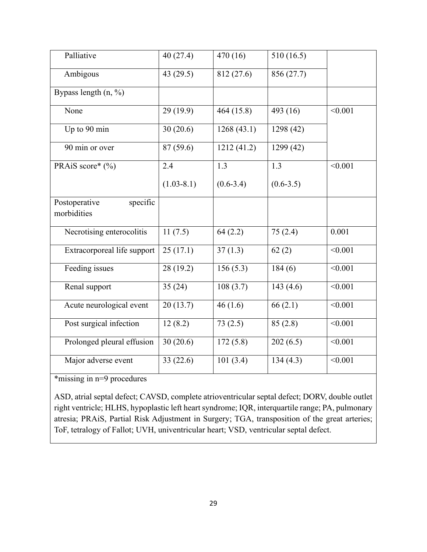| Palliative                               | 40(27.4)              | 470(16)       | 510(16.5)     |         |
|------------------------------------------|-----------------------|---------------|---------------|---------|
| Ambigous                                 | 43(29.5)              | 812 (27.6)    | 856(27.7)     |         |
| Bypass length $(n, \frac{9}{6})$         |                       |               |               |         |
| None                                     | 29 (19.9)             | 464 (15.8)    | 493 (16)      | < 0.001 |
| Up to 90 min                             | 30(20.6)              | 1268(43.1)    | 1298 (42)     |         |
| 90 min or over                           | 87 (59.6)             | 1212(41.2)    | 1299(42)      |         |
| PRAiS score* (%)                         | 2.4                   | 1.3           | 1.3           | < 0.001 |
|                                          | $(1.03 - 8.1)$        | $(0.6 - 3.4)$ | $(0.6 - 3.5)$ |         |
| Postoperative<br>specific<br>morbidities |                       |               |               |         |
| Necrotising enterocolitis                | 11(7.5)               | 64(2.2)       | 75(2.4)       | 0.001   |
| Extracorporeal life support              | 25(17.1)              | 37(1.3)       | 62(2)         | < 0.001 |
| Feeding issues                           | 28 (19.2)             | 156(5.3)      | 184(6)        | < 0.001 |
| Renal support                            | 35(24)                | 108(3.7)      | 143(4.6)      | < 0.001 |
| Acute neurological event                 | 20(13.7)              | 46(1.6)       | 66(2.1)       | < 0.001 |
| Post surgical infection                  | 12(8.2)               | 73(2.5)       | 85(2.8)       | < 0.001 |
| Prolonged pleural effusion               | 30(20.6)              | 172(5.8)      | 202(6.5)      | < 0.001 |
| Major adverse event                      | $\overline{3}3(22.6)$ | 101(3.4)      | 134(4.3)      | < 0.001 |

\*missing in n=9 procedures

ASD, atrial septal defect; CAVSD, complete atrioventricular septal defect; DORV, double outlet right ventricle; HLHS, hypoplastic left heart syndrome; IQR, interquartile range; PA, pulmonary atresia; PRAiS, Partial Risk Adjustment in Surgery; TGA, transposition of the great arteries; ToF, tetralogy of Fallot; UVH, univentricular heart; VSD, ventricular septal defect.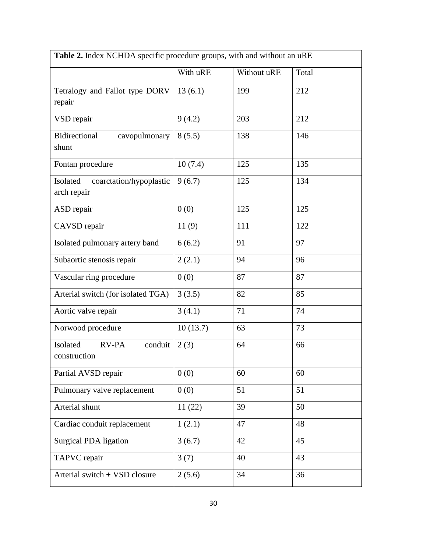| Table 2. Index NCHDA specific procedure groups, with and without an uRE |          |             |       |  |  |  |
|-------------------------------------------------------------------------|----------|-------------|-------|--|--|--|
|                                                                         | With uRE | Without uRE | Total |  |  |  |
| Tetralogy and Fallot type DORV<br>repair                                | 13(6.1)  | 199         | 212   |  |  |  |
| VSD repair                                                              | 9(4.2)   | 203         | 212   |  |  |  |
| Bidirectional<br>cavopulmonary<br>shunt                                 | 8(5.5)   | 138         | 146   |  |  |  |
| Fontan procedure                                                        | 10(7.4)  | 125         | 135   |  |  |  |
| Isolated<br>coarctation/hypoplastic<br>arch repair                      | 9(6.7)   | 125         | 134   |  |  |  |
| ASD repair                                                              | 0(0)     | 125         | 125   |  |  |  |
| CAVSD repair                                                            | 11(9)    | 111         | 122   |  |  |  |
| Isolated pulmonary artery band                                          | 6(6.2)   | 91          | 97    |  |  |  |
| Subaortic stenosis repair                                               | 2(2.1)   | 94          | 96    |  |  |  |
| Vascular ring procedure                                                 | 0(0)     | 87          | 87    |  |  |  |
| Arterial switch (for isolated TGA)                                      | 3(3.5)   | 82          | 85    |  |  |  |
| Aortic valve repair                                                     | 3(4.1)   | 71          | 74    |  |  |  |
| Norwood procedure                                                       | 10(13.7) | 63          | 73    |  |  |  |
| Isolated<br><b>RV-PA</b><br>conduit<br>construction                     | 2(3)     | 64          | 66    |  |  |  |
| Partial AVSD repair                                                     | 0(0)     | 60          | 60    |  |  |  |
| Pulmonary valve replacement                                             | 0(0)     | 51          | 51    |  |  |  |
| Arterial shunt                                                          | 11(22)   | 39          | 50    |  |  |  |
| Cardiac conduit replacement                                             | 1(2.1)   | 47          | 48    |  |  |  |
| <b>Surgical PDA ligation</b>                                            | 3(6.7)   | 42          | 45    |  |  |  |
| TAPVC repair                                                            | 3(7)     | 40          | 43    |  |  |  |
| Arterial switch + VSD closure                                           | 2(5.6)   | 34          | 36    |  |  |  |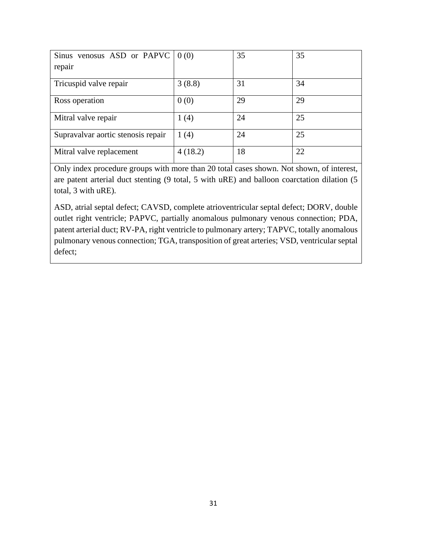| Sinus venosus ASD or PAPVC $\vert 0(0) \rangle$<br>repair |         | 35 | 35 |
|-----------------------------------------------------------|---------|----|----|
| Tricuspid valve repair                                    | 3(8.8)  | 31 | 34 |
| Ross operation                                            | 0(0)    | 29 | 29 |
| Mitral valve repair                                       | 1(4)    | 24 | 25 |
| Supravalvar aortic stenosis repair                        | 1(4)    | 24 | 25 |
| Mitral valve replacement                                  | 4(18.2) | 18 | 22 |

Only index procedure groups with more than 20 total cases shown. Not shown, of interest, are patent arterial duct stenting (9 total, 5 with uRE) and balloon coarctation dilation (5 total, 3 with uRE).

ASD, atrial septal defect; CAVSD, complete atrioventricular septal defect; DORV, double outlet right ventricle; PAPVC, partially anomalous pulmonary venous connection; PDA, patent arterial duct; RV-PA, right ventricle to pulmonary artery; TAPVC, totally anomalous pulmonary venous connection; TGA, transposition of great arteries; VSD, ventricular septal defect;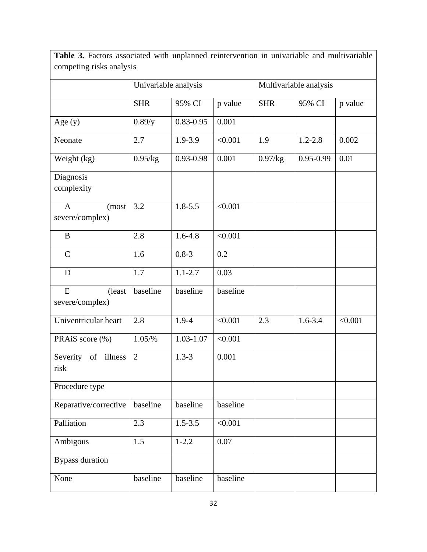Table 3. Factors associated with unplanned reintervention in univariable and multivariable competing risks analysis

|                                          | Univariable analysis |               |          | Multivariable analysis |               |         |
|------------------------------------------|----------------------|---------------|----------|------------------------|---------------|---------|
|                                          | <b>SHR</b>           | 95% CI        | p value  | <b>SHR</b>             | 95% CI        | p value |
| Age $(y)$                                | 0.89/y               | $0.83 - 0.95$ | 0.001    |                        |               |         |
| Neonate                                  | 2.7                  | 1.9-3.9       | < 0.001  | 1.9                    | $1.2 - 2.8$   | 0.002   |
| Weight (kg)                              | 0.95/kg              | 0.93-0.98     | 0.001    | 0.97/kg                | $0.95 - 0.99$ | 0.01    |
| Diagnosis<br>complexity                  |                      |               |          |                        |               |         |
| $\mathbf{A}$<br>(most<br>severe/complex) | 3.2                  | $1.8 - 5.5$   | < 0.001  |                        |               |         |
| $\, {\bf B}$                             | 2.8                  | $1.6 - 4.8$   | < 0.001  |                        |               |         |
| $\mathcal{C}$                            | 1.6                  | $0.8 - 3$     | 0.2      |                        |               |         |
| D                                        | 1.7                  | $1.1 - 2.7$   | 0.03     |                        |               |         |
| ${\bf E}$<br>(least<br>severe/complex)   | baseline             | baseline      | baseline |                        |               |         |
| Univentricular heart                     | 2.8                  | $1.9 - 4$     | < 0.001  | 2.3                    | $1.6 - 3.4$   | < 0.001 |
| PRAiS score (%)                          | $1.05\frac{9}{6}$    | 1.03-1.07     | < 0.001  |                        |               |         |
| Severity<br>of<br>illness<br>risk        | $\overline{2}$       | $1.3 - 3$     | 0.001    |                        |               |         |
| Procedure type                           |                      |               |          |                        |               |         |
| Reparative/corrective                    | baseline             | baseline      | baseline |                        |               |         |
| Palliation                               | 2.3                  | $1.5 - 3.5$   | < 0.001  |                        |               |         |
| Ambigous                                 | 1.5                  | $1 - 2.2$     | 0.07     |                        |               |         |
| <b>Bypass duration</b>                   |                      |               |          |                        |               |         |
| None                                     | baseline             | baseline      | baseline |                        |               |         |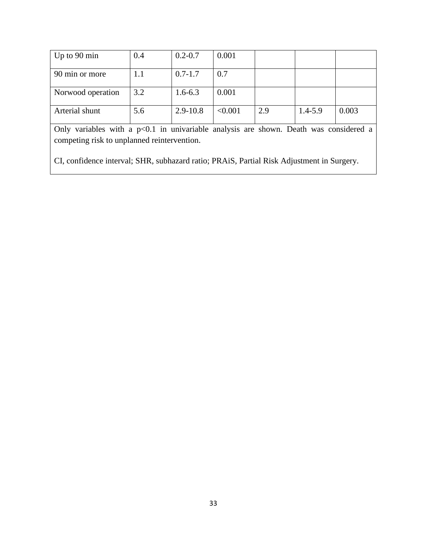| Up to $90 \text{ min}$ | 0.4 | $0.2 - 0.7$  | 0.001   |     |             |       |
|------------------------|-----|--------------|---------|-----|-------------|-------|
| 90 min or more         | l.1 | $0.7 - 1.7$  | 0.7     |     |             |       |
| Norwood operation      | 3.2 | $1.6 - 6.3$  | 0.001   |     |             |       |
| Arterial shunt         | 5.6 | $2.9 - 10.8$ | < 0.001 | 2.9 | $1.4 - 5.9$ | 0.003 |

Only variables with a p<0.1 in univariable analysis are shown. Death was considered a competing risk to unplanned reintervention.

CI, confidence interval; SHR, subhazard ratio; PRAiS, Partial Risk Adjustment in Surgery.